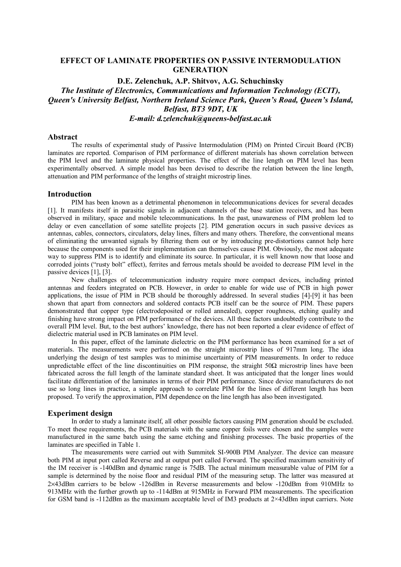# **EFFECT OF LAMINATE PROPERTIES ON PASSIVE INTERMODULATION GENERATION**

**D.E. Zelenchuk, A.P. Shitvov, A.G. Schuchinsky**  *The Institute of Electronics, Communications and Information Technology (ECIT), Queen's University Belfast, Northern Ireland Science Park, Queen's Road, Queen's Island, Belfast, BT3 9DT, UK E-mail: d.zelenchuk@queens-belfast.ac.uk* 

#### **Abstract**

The results of experimental study of Passive Intermodulation (PIM) on Printed Circuit Board (PCB) laminates are reported. Comparison of PIM performance of different materials has shown correlation between the PIM level and the laminate physical properties. The effect of the line length on PIM level has been experimentally observed. A simple model has been devised to describe the relation between the line length, attenuation and PIM performance of the lengths of straight microstrip lines.

#### **Introduction**

PIM has been known as a detrimental phenomenon in telecommunications devices for several decades [1]. It manifests itself in parasitic signals in adjacent channels of the base station receivers, and has been observed in military, space and mobile telecommunications. In the past, unawareness of PIM problem led to delay or even cancellation of some satellite projects [2]. PIM generation occurs in such passive devices as antennas, cables, connectors, circulators, delay lines, filters and many others. Therefore, the conventional means of eliminating the unwanted signals by filtering them out or by introducing pre-distortions cannot help here because the components used for their implementation can themselves cause PIM. Obviously, the most adequate way to suppress PIM is to identify and eliminate its source. In particular, it is well known now that loose and corroded joints ("rusty bolt" effect), ferrites and ferrous metals should be avoided to decrease PIM level in the passive devices [1], [3].

New challenges of telecommunication industry require more compact devices, including printed antennas and feeders integrated on PCB. However, in order to enable for wide use of PCB in high power applications, the issue of PIM in PCB should be thoroughly addressed. In several studies [4]-[9] it has been shown that apart from connectors and soldered contacts PCB itself can be the source of PIM. These papers demonstrated that copper type (electrodeposited or rolled annealed), copper roughness, etching quality and finishing have strong impact on PIM performance of the devices. All these factors undoubtedly contribute to the overall PIM level. But, to the best authors' knowledge, there has not been reported a clear evidence of effect of dielectric material used in PCB laminates on PIM level.

In this paper, effect of the laminate dielectric on the PIM performance has been examined for a set of materials. The measurements were performed on the straight microstrip lines of 917mm long. The idea underlying the design of test samples was to minimise uncertainty of PIM measurements. In order to reduce unpredictable effect of the line discontinuities on PIM response, the straight  $50\Omega$  microstrip lines have been fabricated across the full length of the laminate standard sheet. It was anticipated that the longer lines would facilitate differentiation of the laminates in terms of their PIM performance. Since device manufacturers do not use so long lines in practice, a simple approach to correlate PIM for the lines of different length has been proposed. To verify the approximation, PIM dependence on the line length has also been investigated.

#### **Experiment design**

In order to study a laminate itself, all other possible factors causing PIM generation should be excluded. To meet these requirements, the PCB materials with the same copper foils were chosen and the samples were manufactured in the same batch using the same etching and finishing processes. The basic properties of the laminates are specified in Table 1.

The measurements were carried out with Summitek SI-900B PIM Analyzer. The device can measure both PIM at input port called Reverse and at output port called Forward. The specified maximum sensitivity of the IM receiver is -140dBm and dynamic range is 75dB. The actual minimum measurable value of PIM for a sample is determined by the noise floor and residual PIM of the measuring setup. The latter was measured at 2×43dBm carriers to be below -126dBm in Reverse measurements and below -120dBm from 910MHz to 913MHz with the further growth up to -114dBm at 915MHz in Forward PIM measurements. The specification for GSM band is -112dBm as the maximum acceptable level of IM3 products at  $2\times 43$ dBm input carriers. Note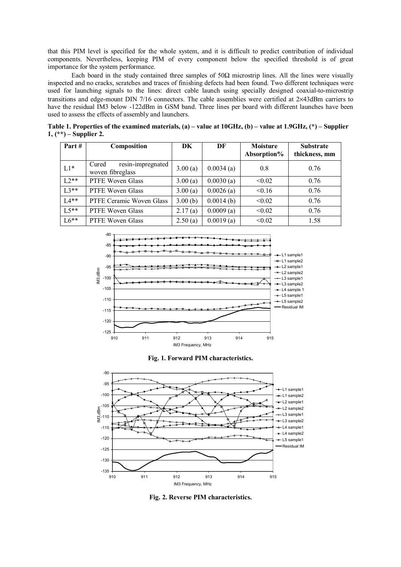that this PIM level is specified for the whole system, and it is difficult to predict contribution of individual components. Nevertheless, keeping PIM of every component below the specified threshold is of great importance for the system performance.

Each board in the study contained three samples of  $50\Omega$  microstrip lines. All the lines were visually inspected and no cracks, scratches and traces of finishing defects had been found. Two different techniques were used for launching signals to the lines: direct cable launch using specially designed coaxial-to-microstrip transitions and edge-mount DIN 7/16 connectors. The cable assemblies were certified at 2×43dBm carriers to have the residual IM3 below -122dBm in GSM band. Three lines per board with different launches have been used to assess the effects of assembly and launchers.

**Table 1. Properties of the examined materials, (a) – value at 10GHz, (b) – value at 1.9GHz, (\*) – Supplier 1, (\*\*) – Supplier 2.** 

| Part#   | Composition                                    | DK      | DF        | <b>Moisture</b><br>Absorption% | <b>Substrate</b><br>thickness, mm |
|---------|------------------------------------------------|---------|-----------|--------------------------------|-----------------------------------|
| $L1*$   | resin-impregnated<br>Cured<br>woven fibreglass | 3.00(a) | 0.0034(a) | 0.8                            | 0.76                              |
| $1.2**$ | PTFE Woven Glass                               | 3.00(a) | 0.0030(a) | < 0.02                         | 0.76                              |
| $L3**$  | PTFE Woven Glass                               | 3.00(a) | 0.0026(a) | < 0.16                         | 0.76                              |
| $L4**$  | PTFE Ceramic Woven Glass                       | 3.00(b) | 0.0014(b) | < 0.02                         | 0.76                              |
| $L5**$  | PTFE Woven Glass                               | 2.17(a) | 0.0009(a) | < 0.02                         | 0.76                              |
| $L6**$  | PTFE Woven Glass                               | 2.50(a) | 0.0019(a) | < 0.02                         | 1.58                              |







**Fig. 2. Reverse PIM characteristics.**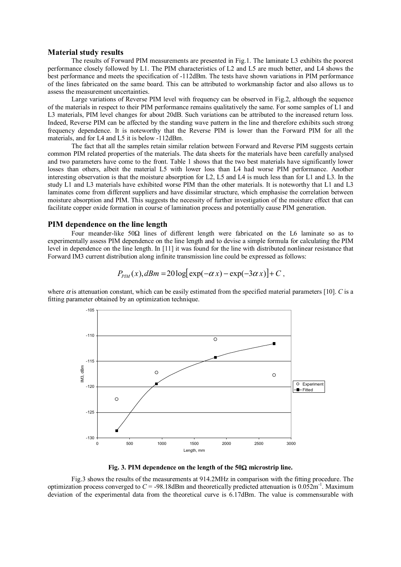#### **Material study results**

The results of Forward PIM measurements are presented in Fig.1. The laminate L3 exhibits the poorest performance closely followed by L1. The PIM characteristics of L2 and L5 are much better, and L4 shows the best performance and meets the specification of -112dBm. The tests have shown variations in PIM performance of the lines fabricated on the same board. This can be attributed to workmanship factor and also allows us to assess the measurement uncertainties.

Large variations of Reverse PIM level with frequency can be observed in Fig.2, although the sequence of the materials in respect to their PIM performance remains qualitatively the same. For some samples of L1 and L3 materials, PIM level changes for about 20dB. Such variations can be attributed to the increased return loss. Indeed, Reverse PIM can be affected by the standing wave pattern in the line and therefore exhibits such strong frequency dependence. It is noteworthy that the Reverse PIM is lower than the Forward PIM for all the materials, and for L4 and L5 it is below -112dBm.

The fact that all the samples retain similar relation between Forward and Reverse PIM suggests certain common PIM related properties of the materials. The data sheets for the materials have been carefully analysed and two parameters have come to the front. Table 1 shows that the two best materials have significantly lower losses than others, albeit the material L5 with lower loss than L4 had worse PIM performance. Another interesting observation is that the moisture absorption for L2, L5 and L4 is much less than for L1 and L3. In the study L1 and L3 materials have exhibited worse PIM than the other materials. It is noteworthy that L1 and L3 laminates come from different suppliers and have dissimilar structure, which emphasise the correlation between moisture absorption and PIM. This suggests the necessity of further investigation of the moisture effect that can facilitate copper oxide formation in course of lamination process and potentially cause PIM generation.

### **PIM dependence on the line length**

Four meander-like 50Ω lines of different length were fabricated on the L6 laminate so as to experimentally assess PIM dependence on the line length and to devise a simple formula for calculating the PIM level in dependence on the line length. In [11] it was found for the line with distributed nonlinear resistance that Forward IM3 current distribution along infinite transmission line could be expressed as follows:

$$
P_{\text{PIM}}(x), dBm = 20 \log \left[ \exp(-\alpha x) - \exp(-3\alpha x) \right] + C,
$$

where  $\alpha$  is attenuation constant, which can be easily estimated from the specified material parameters [10]. *C* is a fitting parameter obtained by an optimization technique.





Fig.3 shows the results of the measurements at 914.2MHz in comparison with the fitting procedure. The optimization process converged to  $C = -98.18$ dBm and theoretically predicted attenuation is  $0.052$ m<sup>-1</sup>. Maximum deviation of the experimental data from the theoretical curve is 6.17dBm. The value is commensurable with